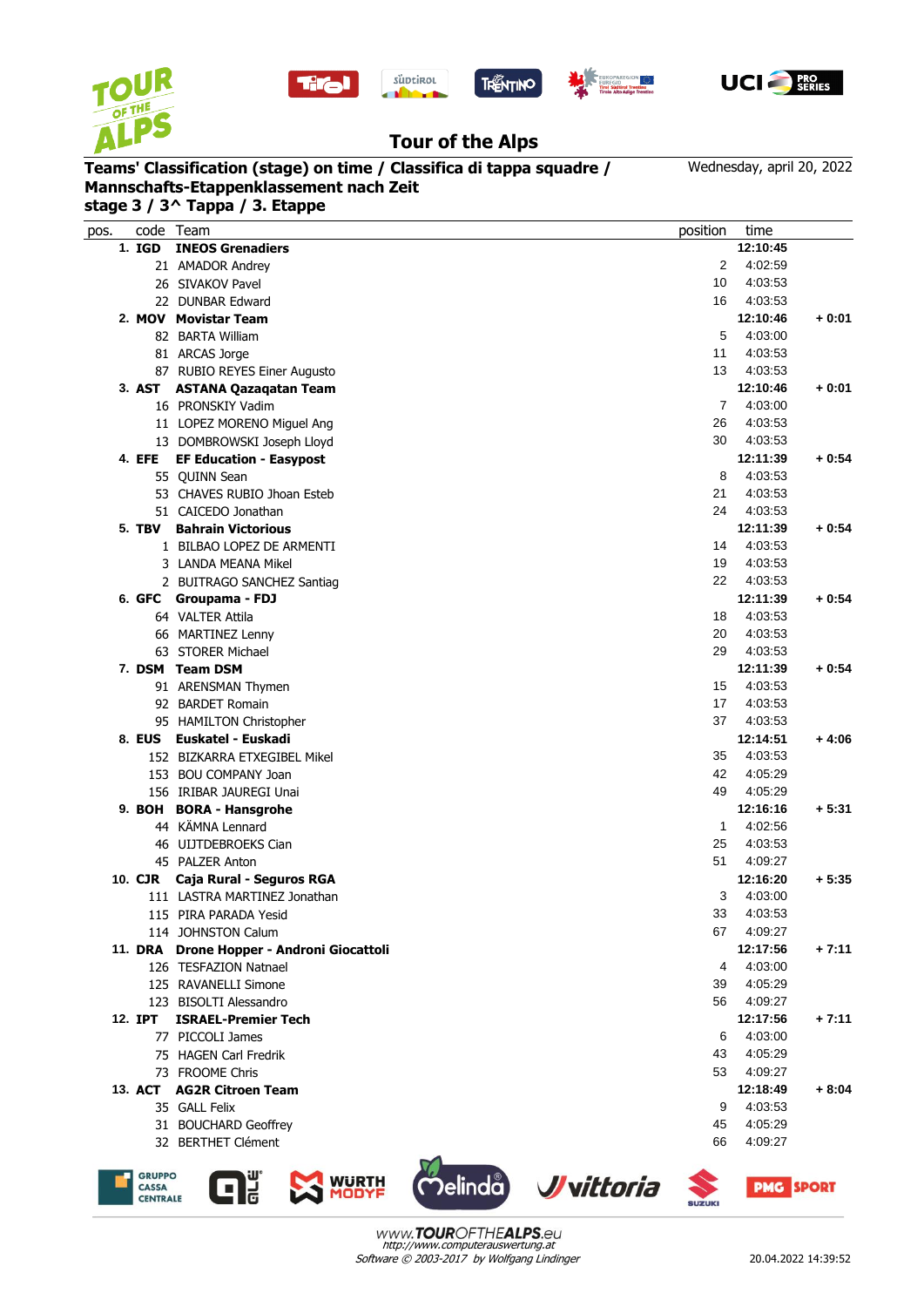







## **Tour of the Alps**

## **Teams' Classification (stage) on time / Classifica di tappa squadre / Mannschafts-Etappenklassement nach Zeit**

Wednesday, april 20, 2022

| stage 3 / 3^ Tappa / 3. Etappe |  |
|--------------------------------|--|

| pos. | code Team                                        |                                           |                   | position       | time             |         |
|------|--------------------------------------------------|-------------------------------------------|-------------------|----------------|------------------|---------|
|      | 1. IGD                                           | <b>INEOS Grenadiers</b>                   |                   |                | 12:10:45         |         |
|      |                                                  | 21 AMADOR Andrey                          |                   | 2              | 4:02:59          |         |
|      |                                                  | 26 SIVAKOV Pavel                          |                   | 10             | 4:03:53          |         |
|      |                                                  | 22 DUNBAR Edward                          |                   | 16             | 4:03:53          |         |
|      |                                                  | 2. MOV Movistar Team                      |                   |                | 12:10:46         | $+0:01$ |
|      |                                                  |                                           |                   | 5              | 4:03:00          |         |
|      |                                                  | 82 BARTA William                          |                   | 11             |                  |         |
|      |                                                  | 81 ARCAS Jorge                            |                   |                | 4:03:53          |         |
|      |                                                  | 87 RUBIO REYES Einer Augusto              |                   | 13             | 4:03:53          |         |
|      |                                                  | 3. AST ASTANA Qazaqatan Team              |                   |                | 12:10:46         | $+0:01$ |
|      |                                                  | 16 PRONSKIY Vadim                         |                   | $\overline{7}$ | 4:03:00          |         |
|      |                                                  | 11 LOPEZ MORENO Miguel Ang                |                   | 26             | 4:03:53          |         |
|      |                                                  | 13 DOMBROWSKI Joseph Lloyd                |                   | 30             | 4:03:53          |         |
|      | 4. EFE                                           | <b>EF Education - Easypost</b>            |                   |                | 12:11:39         | $+0.54$ |
|      |                                                  | 55 QUINN Sean                             |                   | 8              | 4:03:53          |         |
|      |                                                  | 53 CHAVES RUBIO Jhoan Esteb               |                   | 21             | 4:03:53          |         |
|      |                                                  | 51 CAICEDO Jonathan                       |                   | 24             | 4:03:53          |         |
|      | 5. TBV                                           | <b>Bahrain Victorious</b>                 |                   |                | 12:11:39         | $+0.54$ |
|      |                                                  | 1 BILBAO LOPEZ DE ARMENTI                 |                   | 14             | 4:03:53          |         |
|      |                                                  | 3 LANDA MEANA Mikel                       |                   | 19             | 4:03:53          |         |
|      |                                                  | 2 BUITRAGO SANCHEZ Santiag                |                   | 22             | 4:03:53          |         |
|      |                                                  | 6. GFC Groupama - FDJ                     |                   |                | 12:11:39         | $+0:54$ |
|      |                                                  | 64 VALTER Attila                          |                   | 18             | 4:03:53          |         |
|      |                                                  | 66 MARTINEZ Lenny                         |                   | 20             | 4:03:53          |         |
|      |                                                  | 63 STORER Michael                         |                   | 29             | 4:03:53          |         |
|      |                                                  | 7. DSM Team DSM                           |                   |                | 12:11:39         | $+0:54$ |
|      |                                                  | 91 ARENSMAN Thymen                        |                   | 15             | 4:03:53          |         |
|      |                                                  | 92 BARDET Romain                          |                   | 17             | 4:03:53          |         |
|      |                                                  | 95 HAMILTON Christopher                   |                   | 37             | 4:03:53          |         |
|      | 8. EUS                                           | Euskatel - Euskadi                        |                   |                | 12:14:51         | $+4:06$ |
|      |                                                  | 152 BIZKARRA ETXEGIBEL Mikel              |                   | 35             | 4:03:53          |         |
|      |                                                  | 153 BOU COMPANY Joan                      |                   | 42             | 4:05:29          |         |
|      |                                                  | 156 IRIBAR JAUREGI Unai                   |                   | 49             | 4:05:29          |         |
|      |                                                  | 9. BOH BORA - Hansgrohe                   |                   |                | 12:16:16         | $+5:31$ |
|      |                                                  | 44 KÄMNA Lennard                          |                   | 1              | 4:02:56          |         |
|      |                                                  | 46 UIJTDEBROEKS Cian                      |                   | 25             | 4:03:53          |         |
|      |                                                  | 45 PALZER Anton                           |                   | 51             | 4:09:27          |         |
|      | 10. CJR                                          | Caja Rural - Seguros RGA                  |                   |                | 12:16:20         | $+5:35$ |
|      |                                                  | 111 LASTRA MARTINEZ Jonathan              |                   | 3              | 4:03:00          |         |
|      |                                                  | 115 PIRA PARADA Yesid                     |                   | 33             | 4:03:53          |         |
|      |                                                  | 114 JOHNSTON Calum                        |                   | 67             | 4:09:27          |         |
|      |                                                  | 11. DRA Drone Hopper - Androni Giocattoli |                   |                | 12:17:56         | $+7:11$ |
|      |                                                  | 126 TESFAZION Natnael                     |                   | 4              | 4:03:00          |         |
|      |                                                  | 125 RAVANELLI Simone                      |                   | 39             | 4:05:29          |         |
|      |                                                  | 123 BISOLTI Alessandro                    |                   | 56             | 4:09:27          |         |
|      | 12. IPT                                          | <b>ISRAEL-Premier Tech</b>                |                   |                | 12:17:56         | $+7:11$ |
|      |                                                  | 77 PICCOLI James                          |                   | 6              | 4:03:00          |         |
|      |                                                  | 75 HAGEN Carl Fredrik                     |                   | 43             | 4:05:29          |         |
|      |                                                  | 73 FROOME Chris                           |                   | 53             | 4:09:27          |         |
|      |                                                  | 13. ACT AG2R Citroen Team                 |                   |                | 12:18:49         | $+8:04$ |
|      |                                                  | 35 GALL Felix                             |                   | 9              | 4:03:53          |         |
|      |                                                  | 31 BOUCHARD Geoffrey                      |                   | 45             | 4:05:29          |         |
|      |                                                  | 32 BERTHET Clément                        |                   | 66             | 4:09:27          |         |
|      |                                                  |                                           |                   |                |                  |         |
|      | <b>GRUPPO</b><br><b>CASSA</b><br><b>CENTRALE</b> | <b>WURTH</b><br>MODYF                     | Delinda Vvittoria |                | <b>PMG SPORT</b> |         |







Software © 2003-2017 by Wolfgang Lindinger